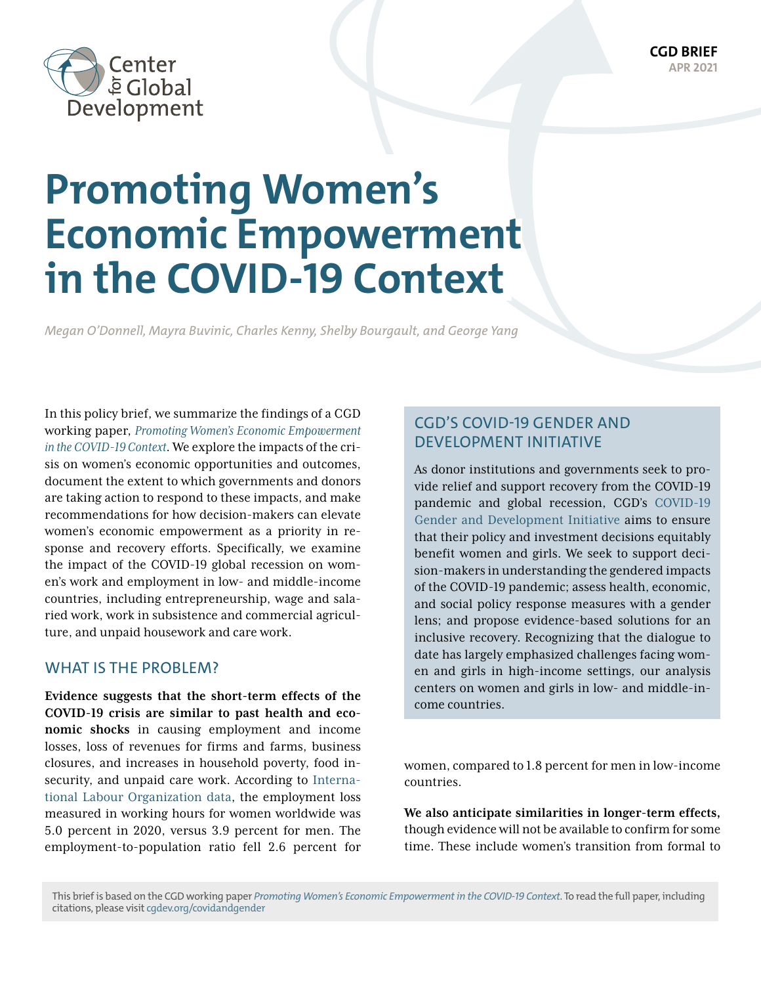

# **Promoting Women's Economic Empowerment in the COVID-19 Context**

*Megan O'Donnell, Mayra Buvinic, Charles Kenny, Shelby Bourgault, and George Yang*

In this policy brief, we summarize the findings of a CGD working paper, *[Promoting Women's Economic Empowerment](https://www.cgdev.org/publication/promoting-womens-economic-empowerment-covid-19-context) [in the COVID-19 Context](https://www.cgdev.org/publication/promoting-womens-economic-empowerment-covid-19-context)*. We explore the impacts of the crisis on women's economic opportunities and outcomes, document the extent to which governments and donors are taking action to respond to these impacts, and make recommendations for how decision-makers can elevate women's economic empowerment as a priority in response and recovery efforts. Specifically, we examine the impact of the COVID-19 global recession on women's work and employment in low- and middle-income countries, including entrepreneurship, wage and salaried work, work in subsistence and commercial agriculture, and unpaid housework and care work.

#### WHAT IS THE PROBLEM?

**Evidence suggests that the short-term effects of the COVID-19 crisis are similar to past health and economic shocks** in causing employment and income losses, loss of revenues for firms and farms, business closures, and increases in household poverty, food insecurity, and unpaid care work. According to [Interna](https://www.ilo.org/wcmsp5/groups/public/---dgreports/---dcomm/documents/briefingnote/wcms_767028.pdf)[tional Labour Organization data](https://www.ilo.org/wcmsp5/groups/public/---dgreports/---dcomm/documents/briefingnote/wcms_767028.pdf), the employment loss measured in working hours for women worldwide was 5.0 percent in 2020, versus 3.9 percent for men. The employment-to-population ratio fell 2.6 percent for

## CGD'S COVID-19 GENDER AND DEVELOPMENT INITIATIVE

As donor institutions and governments seek to provide relief and support recovery from the COVID-19 pandemic and global recession, CGD's [COVID-19](https://www.cgdev.org/project/covid-gender-initiative)  [Gender and Development Initiative](https://www.cgdev.org/project/covid-gender-initiative) aims to ensure that their policy and investment decisions equitably benefit women and girls. We seek to support decision-makers in understanding the gendered impacts of the COVID-19 pandemic; assess health, economic, and social policy response measures with a gender lens; and propose evidence-based solutions for an inclusive recovery. Recognizing that the dialogue to date has largely emphasized challenges facing women and girls in high-income settings, our analysis centers on women and girls in low- and middle-income countries.

women, compared to 1.8 percent for men in low-income countries.

**We also anticipate similarities in longer-term effects,** though evidence will not be available to confirm for some time. These include women's transition from formal to

This brief is based on the CGD working paper *[Promoting Women's Economic Empowerment in the COVID-19 Context](https://www.cgdev.org/publication/promoting-womens-economic-empowerment-covid-19-context)*. To read the full paper, including citations, please visit [cgdev.org/covidandgender](http://cgdev.org/covidandgender)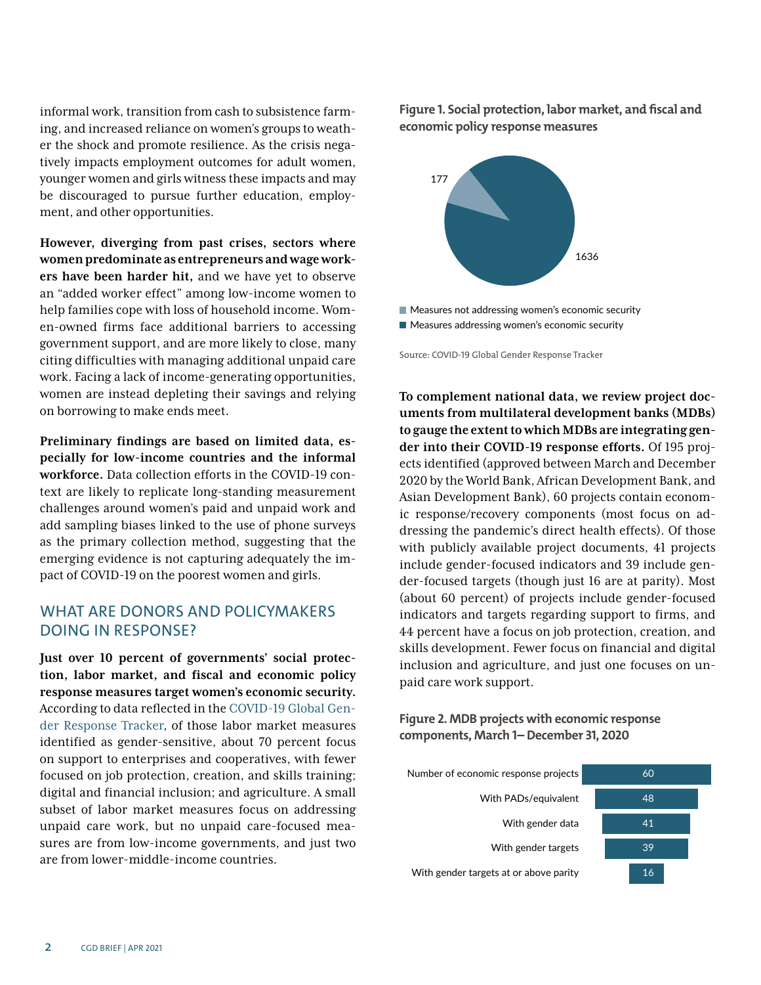informal work, transition from cash to subsistence farming, and increased reliance on women's groups to weather the shock and promote resilience. As the crisis negatively impacts employment outcomes for adult women, younger women and girls witness these impacts and may be discouraged to pursue further education, employment, and other opportunities.

**However, diverging from past crises, sectors where women predominate as entrepreneurs and wage workers have been harder hit,** and we have yet to observe an "added worker effect" among low-income women to help families cope with loss of household income. Women-owned firms face additional barriers to accessing government support, and are more likely to close, many citing difficulties with managing additional unpaid care work. Facing a lack of income-generating opportunities, women are instead depleting their savings and relying on borrowing to make ends meet.

**Preliminary findings are based on limited data, especially for low-income countries and the informal workforce.** Data collection efforts in the COVID-19 context are likely to replicate long-standing measurement challenges around women's paid and unpaid work and add sampling biases linked to the use of phone surveys as the primary collection method, suggesting that the emerging evidence is not capturing adequately the impact of COVID-19 on the poorest women and girls.

## WHAT ARE DONORS AND POLICYMAKERS DOING IN RESPONSE?

**Just over 10 percent of governments' social protection, labor market, and fiscal and economic policy response measures target women's economic security.** According to data reflected in the [COVID-19 Global Gen](https://data.undp.org/gendertracker/)[der Response Tracker,](https://data.undp.org/gendertracker/) of those labor market measures identified as gender-sensitive, about 70 percent focus on support to enterprises and cooperatives, with fewer focused on job protection, creation, and skills training; digital and financial inclusion; and agriculture. A small subset of labor market measures focus on addressing unpaid care work, but no unpaid care-focused measures are from low-income governments, and just two are from lower-middle-income countries.

**Figure 1. Social protection, labor market, and fiscal and economic policy response measures**



**Measures not addressing women's economic security** ■ Measures addressing women's economic security

Source: COVID-19 Global Gender Response Tracker

**To complement national data, we review project documents from multilateral development banks (MDBs) to gauge the extent to which MDBs are integrating gender into their COVID-19 response efforts.** Of 195 projects identified (approved between March and December 2020 by the World Bank, African Development Bank, and Asian Development Bank), 60 projects contain economic response/recovery components (most focus on addressing the pandemic's direct health effects). Of those with publicly available project documents, 41 projects include gender-focused indicators and 39 include gender-focused targets (though just 16 are at parity). Most (about 60 percent) of projects include gender-focused indicators and targets regarding support to firms, and 44 percent have a focus on job protection, creation, and skills development. Fewer focus on financial and digital inclusion and agriculture, and just one focuses on unpaid care work support.

**Figure 2. MDB projects with economic response components, March 1– December 31, 2020**

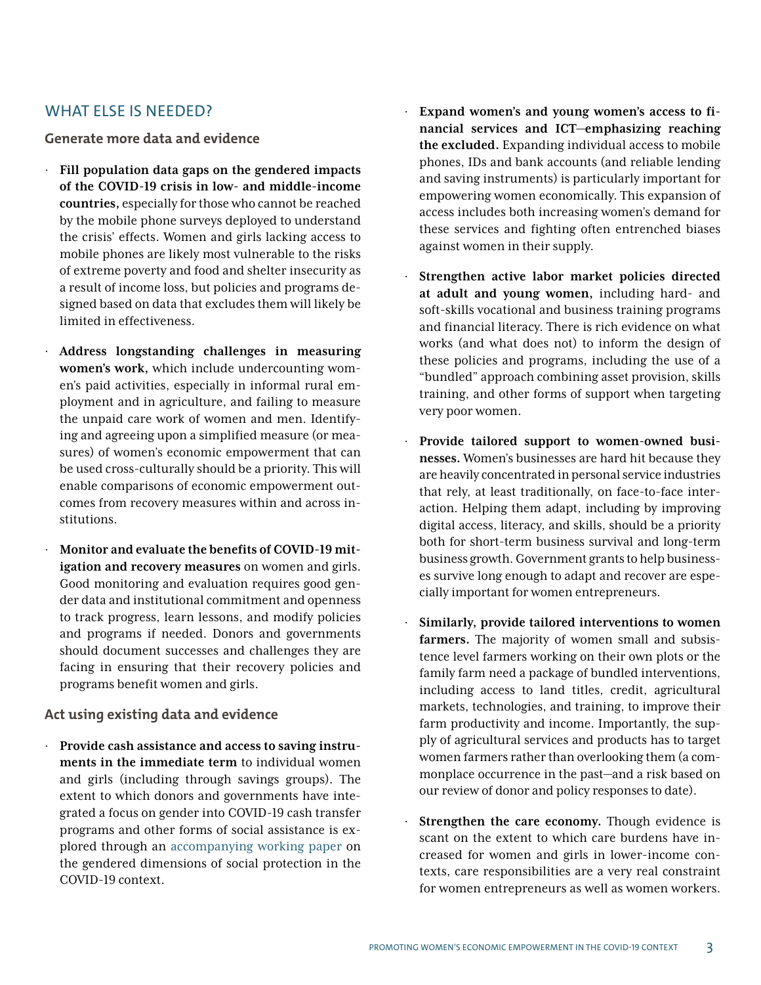## WHAT ELSE IS NEEDED?

#### **Generate more data and evidence**

- · **Fill population data gaps on the gendered impacts of the COVID-19 crisis in low- and middle-income countries,** especially for those who cannot be reached by the mobile phone surveys deployed to understand the crisis' effects. Women and girls lacking access to mobile phones are likely most vulnerable to the risks of extreme poverty and food and shelter insecurity as a result of income loss, but policies and programs designed based on data that excludes them will likely be limited in effectiveness.
- · **Address longstanding challenges in measuring women's work,** which include undercounting women's paid activities, especially in informal rural employment and in agriculture, and failing to measure the unpaid care work of women and men. Identifying and agreeing upon a simplified measure (or measures) of women's economic empowerment that can be used cross-culturally should be a priority. This will enable comparisons of economic empowerment outcomes from recovery measures within and across institutions.
- · **Monitor and evaluate the benefits of COVID-19 mitigation and recovery measures** on women and girls. Good monitoring and evaluation requires good gender data and institutional commitment and openness to track progress, learn lessons, and modify policies and programs if needed. Donors and governments should document successes and challenges they are facing in ensuring that their recovery policies and programs benefit women and girls.

### **Act using existing data and evidence**

· **Provide cash assistance and access to saving instruments in the immediate term** to individual women and girls (including through savings groups). The extent to which donors and governments have integrated a focus on gender into COVID-19 cash transfer programs and other forms of social assistance is explored through an [accompanying working paper](https://www.cgdev.org/publication/gendered-dimensions-social-protection-covid-19-context) on the gendered dimensions of social protection in the COVID-19 context.

- · **Expand women's and young women's access to financial services and ICT—emphasizing reaching the excluded.** Expanding individual access to mobile phones, IDs and bank accounts (and reliable lending and saving instruments) is particularly important for empowering women economically. This expansion of access includes both increasing women's demand for these services and fighting often entrenched biases against women in their supply.
- Strengthen active labor market policies directed **at adult and young women,** including hard- and soft-skills vocational and business training programs and financial literacy. There is rich evidence on what works (and what does not) to inform the design of these policies and programs, including the use of a "bundled" approach combining asset provision, skills training, and other forms of support when targeting very poor women.
- Provide tailored support to women-owned busi**nesses.** Women's businesses are hard hit because they are heavily concentrated in personal service industries that rely, at least traditionally, on face-to-face interaction. Helping them adapt, including by improving digital access, literacy, and skills, should be a priority both for short-term business survival and long-term business growth. Government grants to help businesses survive long enough to adapt and recover are especially important for women entrepreneurs.
- Similarly, provide tailored interventions to women **farmers.** The majority of women small and subsistence level farmers working on their own plots or the family farm need a package of bundled interventions, including access to land titles, credit, agricultural markets, technologies, and training, to improve their farm productivity and income. Importantly, the supply of agricultural services and products has to target women farmers rather than overlooking them (a commonplace occurrence in the past—and a risk based on our review of donor and policy responses to date).
- **Strengthen the care economy.** Though evidence is scant on the extent to which care burdens have increased for women and girls in lower-income contexts, care responsibilities are a very real constraint for women entrepreneurs as well as women workers.